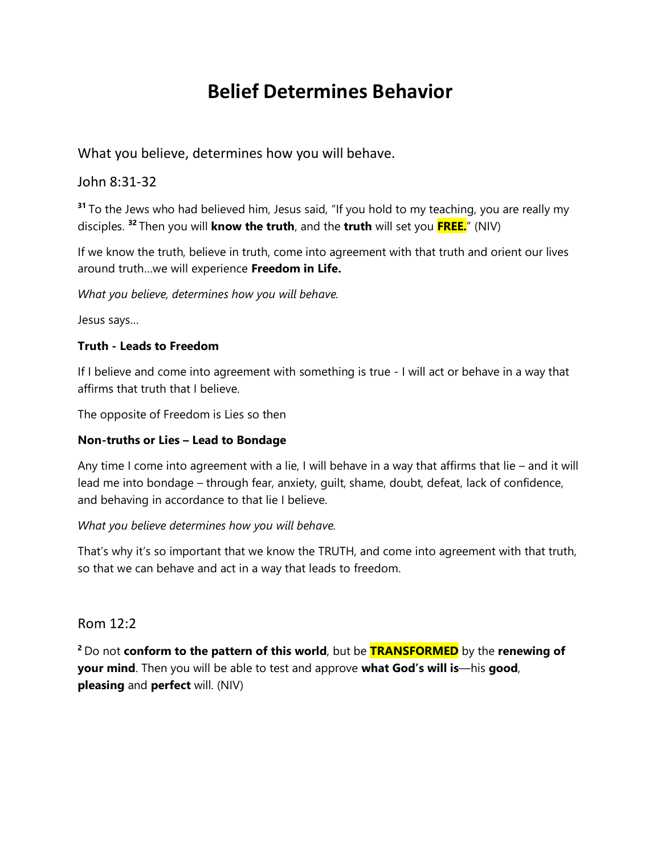# **Belief Determines Behavior**

What you believe, determines how you will behave.

### John 8:31-32

**<sup>31</sup>** To the Jews who had believed him, Jesus said, "If you hold to my teaching, you are really my disciples. **<sup>32</sup>** Then you will **know the truth**, and the **truth** will set you **FREE.**" (NIV)

If we know the truth, believe in truth, come into agreement with that truth and orient our lives around truth…we will experience **Freedom in Life.**

*What you believe, determines how you will behave.* 

Jesus says…

#### **Truth - Leads to Freedom**

If I believe and come into agreement with something is true - I will act or behave in a way that affirms that truth that I believe.

The opposite of Freedom is Lies so then

#### **Non-truths or Lies – Lead to Bondage**

Any time I come into agreement with a lie, I will behave in a way that affirms that lie – and it will lead me into bondage – through fear, anxiety, guilt, shame, doubt, defeat, lack of confidence, and behaving in accordance to that lie I believe.

#### *What you believe determines how you will behave.*

That's why it's so important that we know the TRUTH, and come into agreement with that truth, so that we can behave and act in a way that leads to freedom.

#### Rom 12:2

**<sup>2</sup>** Do not **conform to the pattern of this world**, but be **TRANSFORMED** by the **renewing of your mind**. Then you will be able to test and approve **what God's will is**—his **good**, **pleasing** and **perfect** will. (NIV)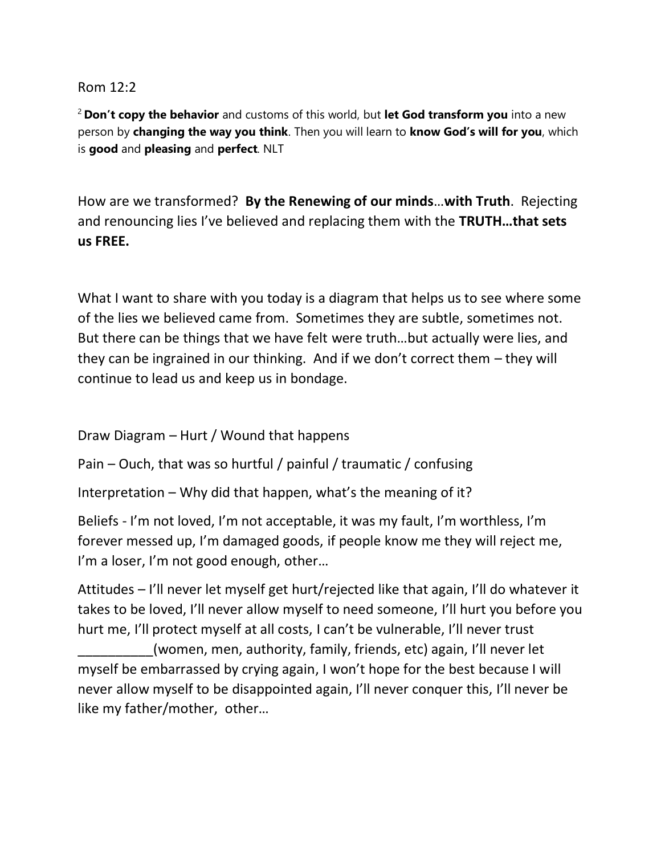## Rom 12:2

<sup>2</sup> **Don't copy the behavior** and customs of this world, but **let God transform you** into a new person by **changing the way you think**. Then you will learn to **know God's will for you**, which is **good** and **pleasing** and **perfect**. NLT

How are we transformed? **By the Renewing of our minds**…**with Truth**. Rejecting and renouncing lies I've believed and replacing them with the **TRUTH…that sets us FREE.** 

What I want to share with you today is a diagram that helps us to see where some of the lies we believed came from. Sometimes they are subtle, sometimes not. But there can be things that we have felt were truth…but actually were lies, and they can be ingrained in our thinking. And if we don't correct them – they will continue to lead us and keep us in bondage.

Draw Diagram – Hurt / Wound that happens

Pain – Ouch, that was so hurtful / painful / traumatic / confusing

Interpretation – Why did that happen, what's the meaning of it?

Beliefs - I'm not loved, I'm not acceptable, it was my fault, I'm worthless, I'm forever messed up, I'm damaged goods, if people know me they will reject me, I'm a loser, I'm not good enough, other...

Attitudes – I'll never let myself get hurt/rejected like that again, I'll do whatever it takes to be loved, I'll never allow myself to need someone, I'll hurt you before you hurt me, I'll protect myself at all costs, I can't be vulnerable, I'll never trust

\_\_\_\_\_\_\_\_\_\_(women, men, authority, family, friends, etc) again, I'll never let myself be embarrassed by crying again, I won't hope for the best because I will never allow myself to be disappointed again, I'll never conquer this, I'll never be like my father/mother, other…